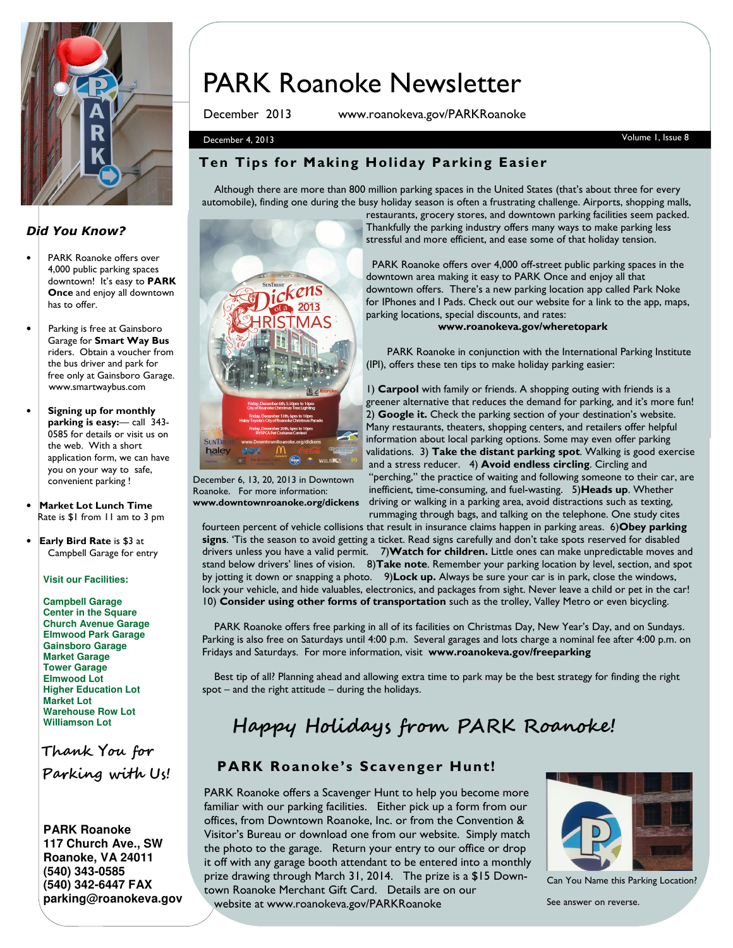

### Did You Know?

- PARK Roanoke offers over 4,000 public parking spaces downtown! It's easy to **PARK** Once and enjoy all downtown has to offer.
- Parking is free at Gainsboro Garage for Smart Way Bus riders. Obtain a voucher from the bus driver and park for free only at Gainsboro Garage. www.smartwaybus.com
- Signing up for monthly parking is easy:— call 343- 0585 for details or visit us on the web. With a short application form, we can have you on your way to safe, convenient parking !
- **Market Lot Lunch Time** Rate is \$1 from 11 am to 3 pm
- Early Bird Rate is \$3 at Campbell Garage for entry

**Visit our Facilities:** 

**Campbell Garage Center in the Square Church Avenue Garage Elmwood Park Garage Gainsboro Garage Market Garage Tower Garage Elmwood Lot Higher Education Lot Market Lot Warehouse Row Lot Williamson Lot**

Thank You for Parking with Us!

**PARK Roanoke 117 Church Ave., SW Roanoke, VA 24011 (540) 343-0585 (540) 342-6447 FAX parking@roanokeva.gov** 

# PARK Roanoke Newsletter

December 2013 www.roanokeva.gov/PARKRoanoke

#### December 4, 2013 Volume 1, Issue 8

### Ten Tips for Making Holiday Parking Easier

 Although there are more than 800 million parking spaces in the United States (that's about three for every automobile), finding one during the busy holiday season is often a frustrating challenge. Airports, shopping malls,

restaurants, grocery stores, and downtown parking facilities seem packed. Thankfully the parking industry offers many ways to make parking less stressful and more efficient, and ease some of that holiday tension.

 PARK Roanoke offers over 4,000 off-street public parking spaces in the downtown area making it easy to PARK Once and enjoy all that downtown offers. There's a new parking location app called Park Noke for IPhones and I Pads. Check out our website for a link to the app, maps, parking locations, special discounts, and rates:

#### www.roanokeva.gov/wheretopark

PARK Roanoke in conjunction with the International Parking Institute (IPI), offers these ten tips to make holiday parking easier:

1) Carpool with family or friends. A shopping outing with friends is a greener alternative that reduces the demand for parking, and it's more fun! 2) Google it. Check the parking section of your destination's website. Many restaurants, theaters, shopping centers, and retailers offer helpful information about local parking options. Some may even offer parking validations. 3) Take the distant parking spot. Walking is good exercise and a stress reducer. 4) Avoid endless circling. Circling and "perching," the practice of waiting and following someone to their car, are inefficient, time-consuming, and fuel-wasting. 5) Heads up. Whether driving or walking in a parking area, avoid distractions such as texting, rummaging through bags, and talking on the telephone. One study cites

fourteen percent of vehicle collisions that result in insurance claims happen in parking areas. 6)Obey parking signs. 'Tis the season to avoid getting a ticket. Read signs carefully and don't take spots reserved for disabled drivers unless you have a valid permit. 7) Watch for children. Little ones can make unpredictable moves and stand below drivers' lines of vision. 8)Take note. Remember your parking location by level, section, and spot by jotting it down or snapping a photo. 9)Lock up. Always be sure your car is in park, close the windows, lock your vehicle, and hide valuables, electronics, and packages from sight. Never leave a child or pet in the car! 10) Consider using other forms of transportation such as the trolley, Valley Metro or even bicycling.

PARK Roanoke offers free parking in all of its facilities on Christmas Day, New Year's Day, and on Sundays. Parking is also free on Saturdays until 4:00 p.m. Several garages and lots charge a nominal fee after 4:00 p.m. on Fridays and Saturdays. For more information, visit www.roanokeva.gov/freeparking

 Best tip of all? Planning ahead and allowing extra time to park may be the best strategy for finding the right spot – and the right attitude – during the holidays.

## Happy Holidays from PARK Roanoke!

### PARK Roanoke's Scavenger Hunt!

PARK Roanoke offers a Scavenger Hunt to help you become more familiar with our parking facilities. Either pick up a form from our offices, from Downtown Roanoke, Inc. or from the Convention & Visitor's Bureau or download one from our website. Simply match the photo to the garage. Return your entry to our office or drop it off with any garage booth attendant to be entered into a monthly prize drawing through March 31, 2014. The prize is a \$15 Downtown Roanoke Merchant Gift Card. Details are on our website at www.roanokeva.gov/PARKRoanoke



Can You Name this Parking Location?

See answer on reverse.



December 6, 13, 20, 2013 in Downtown Roanoke. For more information: www.downtownroanoke.org/dickens